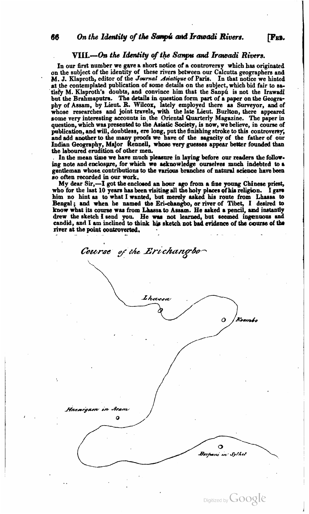## **VIII.—On the Identity of the Sanpu and Irawadi Rivers.**

In our first number we gave a short notice of a controversy which has originated on the subject of the identity of these rivers between our Calcutta geographers and **M. J. Klaproth, editor of the** *Journal Asiatique* **of Paris. In that notice we hinted** at the contemplated publication of some detalls on the subject, which bid fair **to** sa- tisfy M. Klaproth's doubts, and convince him that the SanpG is not the Irawadi but the Brahmapuha. The **detaib** in **wtion** form **part** of a paper on the Geogra-phy of Assam, by Lieut. **R.** Wilcox, lately employed there **re** Surveyor, **and** of whose researches and joint travels, **with** the late Lieut. Burlton, there appeared some very interesting accounts in the Oriental Quarterly Magazine. The paper in question, which was presented to the Asiatic Society, is now, we believe, in course of publication, and will, doubtless, ere long, put the finishing stroke to this controversy, and add another to the many proofs we have of the sagacity of the father of our Indian Geography, Major Rennell, whose very guesses appear better founded than the laboured erudition of other men.

In the mean time we have much pleasure in laying before our readers the following note and enclosure, for which we acknowledge ourselves much indebted to a gentleman whose contributions to the various branches of natural science have been so often recorded in our work.

My dear **Sir,-I got** the encld an honr **ago** from a **fine young** Chineae **prieat,**  who for the last 10 yeam has been visiting dl **the** holy placer of **his** religion. I **gava**  him no hint as to what I wanted, but merely asked his route from Lhassa to **Bengal;** and when he named the Eri-changbo, or riwr of Tibet, I **denired to**  know what its course was from Lhassa to Assam. He asked a pencil, and instantly drew the sketch i aend **pa** He **wsa** not learned, hat neemed iqenuoun and **candid, and** I am inclined to think **hb** sketch **not bad** evideaee of **the course of th.**  river at the point controverted.